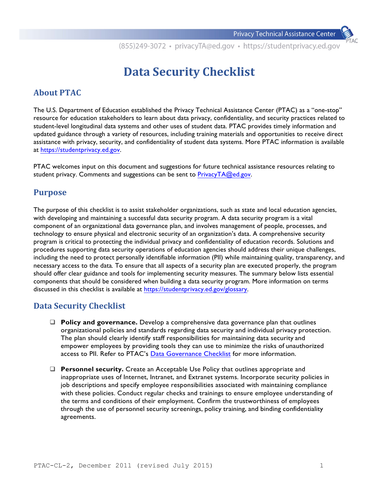## **Data Security Checklist**

## **About PTAC**

The U.S. Department of Education established the Privacy Technical Assistance Center (PTAC) as a "one-stop" resource for education stakeholders to learn about data privacy, confidentiality, and security practices related to student-level longitudinal data systems and other uses of student data. PTAC provides timely information and updated guidance through a variety of resources, including training materials and opportunities to receive direct assistance with privacy, security, and confidentiality of student data systems. More PTAC information is available at https://[studentprivacy](https://studentprivacy.ed.gov).ed.gov.

PTAC welcomes input on this document and suggestions for future technical assistance resources relating to student privacy. Comments and suggestions can be sent to PrivacyTA@ed.gov.

## **Purpose**

The purpose of this checklist is to assist stakeholder organizations, such as state and local education agencies, with developing and maintaining a successful data security program. A data security program is a vital component of an organizational data governance plan, and involves management of people, processes, and technology to ensure physical and electronic security of an organization's data. A comprehensive security program is critical to protecting the individual privacy and confidentiality of education records. Solutions and procedures supporting data security operations of education agencies should address their unique challenges, including the need to protect personally identifiable information (PII) while maintaining quality, transparency, and necessary access to the data*.* To ensure that all aspects of a security plan are executed properly, the program should offer clear guidance and tools for implementing security measures. The summary below lists essential components that should be considered when building a data security program. More information on terms discussed in this checklist is available at https://studentprivacy[.ed.gov/glossary.](https://studentprivacy.ed.gov/glossary) 

## **Data Security Checklist**

- **Policy and governance.** Develop a comprehensive data governance plan that outlines organizational policies and standards regarding data security and individual privacy protection. The plan should clearly identify staff responsibilities for maintaining data security and empower employees by providing tools they can use to minimize the risks of unauthorized access to PII. Refer to PTAC's [Data Governance Checklist](https://studentprivacy.ed.gov/resources/checklist-data-governance) for more information.
- **Personnel security.** Create an Acceptable Use Policy that outlines appropriate and inappropriate uses of Internet, Intranet, and Extranet systems. Incorporate security policies in job descriptions and specify employee responsibilities associated with maintaining compliance with these policies. Conduct regular checks and trainings to ensure employee understanding of the terms and conditions of their employment. Confirm the trustworthiness of employees through the use of personnel security screenings, policy training, and binding confidentiality agreements.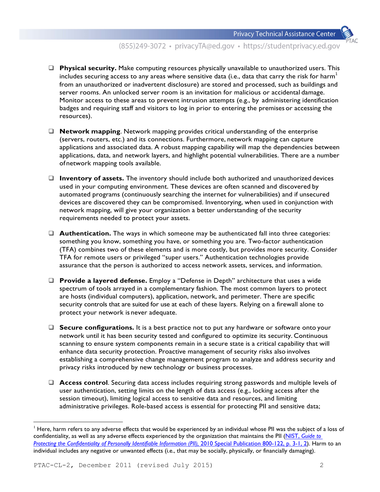- **Physical security.** Make computing resources physically unavailable to unauthorized users. This includes securing access to any areas where sensitive data (i.e., data that carry the risk for harm<sup>1</sup> from an unauthorized or inadvertent disclosure) are stored and processed, such as buildings and server rooms. An unlocked server room is an invitation for malicious or accidental damage. Monitor access to these areas to prevent intrusion attempts (e.g., by administering identification badges and requiring staff and visitors to log in prior to entering the premises or accessing the resources).
- □ **Network mapping**. Network mapping provides critical understanding of the enterprise (servers, routers, etc.) and its connections. Furthermore, network mapping can capture applications and associated data. A robust mapping capability will map the dependencies between applications, data, and network layers, and highlight potential vulnerabilities. There are a number of network mapping tools available.
- □ **Inventory of assets.** The inventory should include both authorized and unauthorized devices used in your computing environment. These devices are often scanned and discovered by automated programs (continuously searching the internet for vulnerabilities) and if unsecured devices are discovered they can be compromised. Inventorying, when used in conjunction with network mapping, will give your organization a better understanding of the security requirements needed to protect your assets.
- **Q** Authentication. The ways in which someone may be authenticated fall into three categories: something you know, something you have, or something you are. Two-factor authentication (TFA) combines two of these elements and is more costly, but provides more security. Consider TFA for remote users or privileged "super users." Authentication technologies provide assurance that the person is authorized to access network assets, services, and information.
- □ **Provide a layered defense.** Employ a "Defense in Depth" architecture that uses a wide spectrum of tools arrayed in a complementary fashion. The most common layers to protect are hosts (individual computers), application, network, and perimeter. There are specific security controls that are suited for use at each of these layers. Relying on a firewall alone to protect your network is never adequate.
- □ Secure configurations. It is a best practice not to put any hardware or software onto your network until it has been security tested and configured to optimize its security. Continuous scanning to ensure system components remain in a secure state is a critical capability that will enhance data security protection. Proactive management of security risks also involves establishing a comprehensive change management program to analyze and address security and privacy risks introduced by new technology or business processes.
- **Q Access control**. Securing data access includes requiring strong passwords and multiple levels of user authentication, setting limits on the length of data access (e.g., locking access after the session timeout), limiting logical access to sensitive data and resources, and limiting administrative privileges. Role-based access is essential for protecting PII and sensitive data;

<sup>&</sup>lt;sup>1</sup> Here, harm refers to any adverse effects that would be experienced by an individual whose PII was the subject of a loss of [confidentiality, as well as any adverse effects experienced by the organization that maintains the PII \(NIST,](http://csrc.nist.gov/publications/nistpubs/800-122/sp800-122.pdf) *Guide to Protecting the Confidentiality of Personally Identifiable Information (PII), 2010 Special Publication 800-122, p. 3-1, 2). Harm to an* individual includes any negative or unwanted effects (i.e., that may be socially, physically, or financially damaging).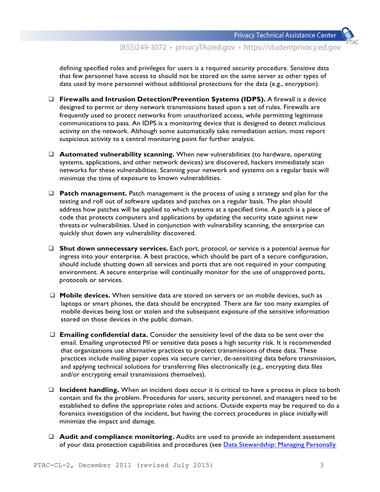defining specified roles and privileges for users is a required security procedure. Sensitive data that few personnel have access to should not be stored on the same server as other types of data used by more personnel without additional protections for the data (e.g., encryption).

- q **Firewalls and Intrusion Detection/Prevention Systems (IDPS).** A firewall is a device designed to permit or deny network transmissions based upon a set of rules. Firewalls are frequently used to protect networks from unauthorized access, while permitting legitimate communications to pass. An IDPS is a monitoring device that is designed to detect malicious activity on the network. Although some automatically take remediation action, most report suspicious activity to a central monitoring point for further analysis.
- □ **Automated vulnerability scanning.** When new vulnerabilities (to hardware, operating systems, applications, and other network devices) are discovered, hackers immediately scan networks for these vulnerabilities. Scanning your network and systems on a regular basis will minimize the time of exposure to known vulnerabilities.
- **Q** Patch management. Patch management is the process of using a strategy and plan for the testing and roll out of software updates and patches on a regular basis. The plan should address how patches will be applied to which systems at a specified time. A patch is a piece of code that protects computers and applications by updating the security state against new threats or vulnerabilities. Used in conjunction with vulnerability scanning, the enterprise can quickly shut down any vulnerability discovered.
- □ Shut down unnecessary services. Each port, protocol, or service is a potential avenue for ingress into your enterprise. A best practice, which should be part of a secure configuration, should include shutting down all services and ports that are not required in your computing environment. A secure enterprise will continually monitor for the use of unapproved ports, protocols or services.
- □ **Mobile devices.** When sensitive data are stored on servers or on mobile devices, such as laptops or smart phones, the data should be encrypted. There are far too many examples of mobile devices being lost or stolen and the subsequent exposure of the sensitive information stored on those devices in the public domain.
- q **Emailing confidential data.** Consider the sensitivity level of the data to be sent over the email. Emailing unprotected PII or sensitive data poses a high security risk. It is recommended that organizations use alternative practices to protect transmissions of these data. These practices include mailing paper copies via secure carrier, de-sensitizing data before transmission, and applying technical solutions for transferring files electronically (e.g., encrypting data files and/or encrypting email transmissions themselves).
- □ **Incident handling.** When an incident does occur it is critical to have a process in place to both contain and fix the problem. Procedures for users, security personnel, and managers need to be established to define the appropriate roles and actions. Outside experts may be required to do a forensics investigation of the incident, but having the correct procedures in place initially will minimize the impact and damage.
- □ **Audit and compliance monitoring.** Audits are used to provide an independent assessment of your data protection capabilities and procedures (see Data [Stewardship:](https://studentprivacy.ed.gov/resources/data-stewardship-managing-personally-identifiable-information-student-education-records-0) Managing Personally